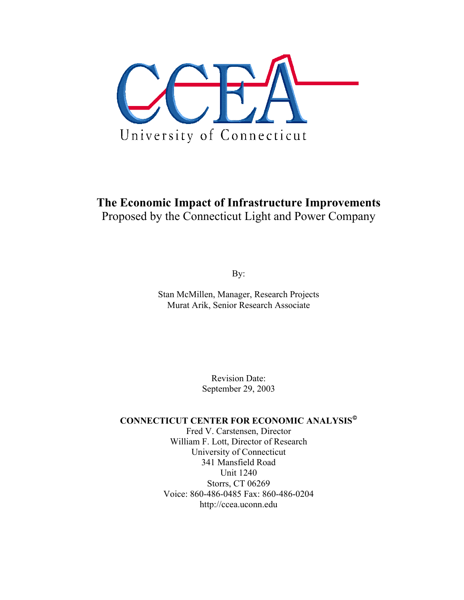

# **The Economic Impact of Infrastructure Improvements**  Proposed by the Connecticut Light and Power Company

By:

Stan McMillen, Manager, Research Projects Murat Arik, Senior Research Associate

> Revision Date: September 29, 2003

## **CONNECTICUT CENTER FOR ECONOMIC ANALYSIS**

Fred V. Carstensen, Director William F. Lott, Director of Research University of Connecticut 341 Mansfield Road Unit 1240 Storrs, CT 06269 Voice: 860-486-0485 Fax: 860-486-0204 http://ccea.uconn.edu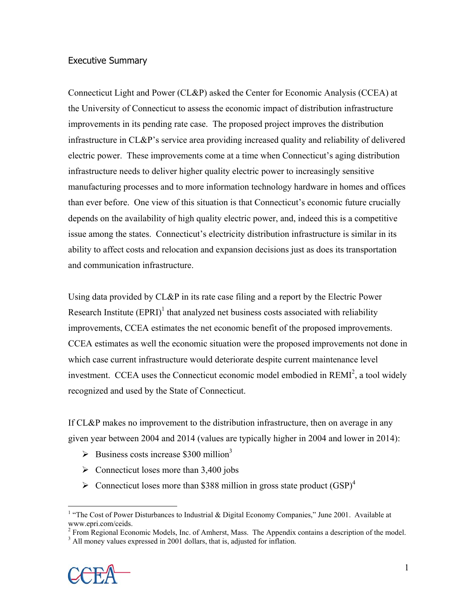## Executive Summary

Connecticut Light and Power (CL&P) asked the Center for Economic Analysis (CCEA) at the University of Connecticut to assess the economic impact of distribution infrastructure improvements in its pending rate case. The proposed project improves the distribution infrastructure in CL&P's service area providing increased quality and reliability of delivered electric power. These improvements come at a time when Connecticut's aging distribution infrastructure needs to deliver higher quality electric power to increasingly sensitive manufacturing processes and to more information technology hardware in homes and offices than ever before. One view of this situation is that Connecticut's economic future crucially depends on the availability of high quality electric power, and, indeed this is a competitive issue among the states. Connecticut's electricity distribution infrastructure is similar in its ability to affect costs and relocation and expansion decisions just as does its transportation and communication infrastructure.

Using data provided by CL&P in its rate case filing and a report by the Electric Power Research Institute  $(EPRI)^{1}$  that analyzed net business costs associated with reliability improvements, CCEA estimates the net economic benefit of the proposed improvements. CCEA estimates as well the economic situation were the proposed improvements not done in which case current infrastructure would deteriorate despite current maintenance level investment. CCEA uses the Connecticut economic model embodied in  $REMI<sup>2</sup>$ , a tool widely recognized and used by the State of Connecticut.

If CL&P makes no improvement to the distribution infrastructure, then on average in any given year between 2004 and 2014 (values are typically higher in 2004 and lower in 2014):

- $\blacktriangleright$  Business costs increase \$300 million<sup>3</sup>
- $\triangleright$  Connecticut loses more than 3,400 jobs
- $\triangleright$  Connecticut loses more than \$388 million in gross state product (GSP)<sup>4</sup>

 $2^2$  From Regional Economic Models, Inc. of Amherst, Mass. The Appendix contains a description of the model.

<sup>&</sup>lt;sup>3</sup> All money values expressed in 2001 dollars, that is, adjusted for inflation.



 $\overline{a}$ 

<sup>&</sup>lt;sup>1</sup> "The Cost of Power Disturbances to Industrial & Digital Economy Companies," June 2001. Available at www.epri.com/ceids.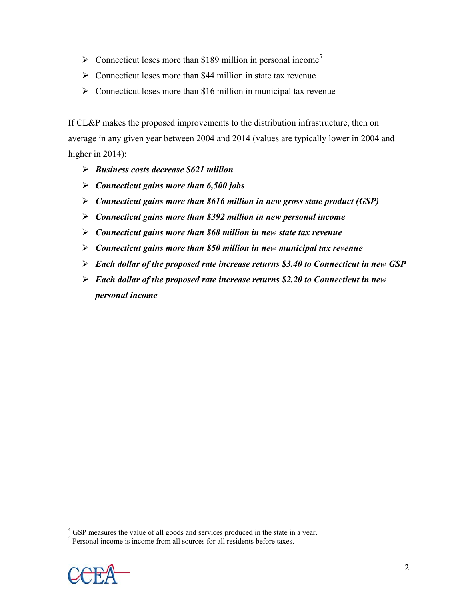- $\triangleright$  Connecticut loses more than \$189 million in personal income<sup>5</sup>
- $\triangleright$  Connecticut loses more than \$44 million in state tax revenue
- $\triangleright$  Connecticut loses more than \$16 million in municipal tax revenue

If CL&P makes the proposed improvements to the distribution infrastructure, then on average in any given year between 2004 and 2014 (values are typically lower in 2004 and higher in 2014):

- ¾ *Business costs decrease \$621 million*
- ¾ *Connecticut gains more than 6,500 jobs*
- ¾ *Connecticut gains more than \$616 million in new gross state product (GSP)*
- ¾ *Connecticut gains more than \$392 million in new personal income*
- ¾ *Connecticut gains more than \$68 million in new state tax revenue*
- ¾ *Connecticut gains more than \$50 million in new municipal tax revenue*
- ¾ *Each dollar of the proposed rate increase returns \$3.40 to Connecticut in new GSP*
- ¾ *Each dollar of the proposed rate increase returns \$2.20 to Connecticut in new personal income*

 $<sup>5</sup>$  Personal income is income from all sources for all residents before taxes.</sup>



 $\frac{1}{4}$ <sup>4</sup> GSP measures the value of all goods and services produced in the state in a year.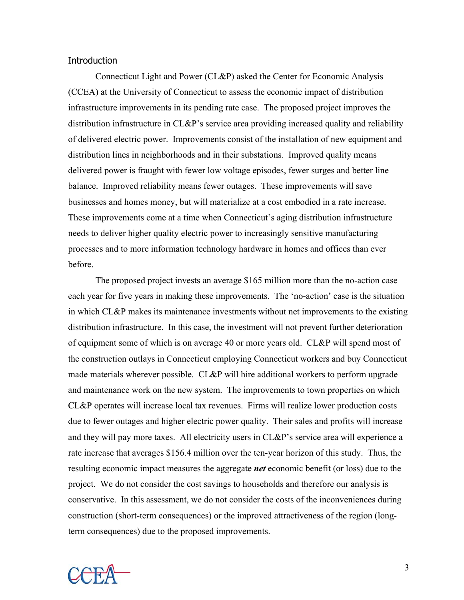#### **Introduction**

 Connecticut Light and Power (CL&P) asked the Center for Economic Analysis (CCEA) at the University of Connecticut to assess the economic impact of distribution infrastructure improvements in its pending rate case. The proposed project improves the distribution infrastructure in CL&P's service area providing increased quality and reliability of delivered electric power. Improvements consist of the installation of new equipment and distribution lines in neighborhoods and in their substations. Improved quality means delivered power is fraught with fewer low voltage episodes, fewer surges and better line balance. Improved reliability means fewer outages. These improvements will save businesses and homes money, but will materialize at a cost embodied in a rate increase. These improvements come at a time when Connecticut's aging distribution infrastructure needs to deliver higher quality electric power to increasingly sensitive manufacturing processes and to more information technology hardware in homes and offices than ever before.

 The proposed project invests an average \$165 million more than the no-action case each year for five years in making these improvements. The 'no-action' case is the situation in which CL&P makes its maintenance investments without net improvements to the existing distribution infrastructure. In this case, the investment will not prevent further deterioration of equipment some of which is on average 40 or more years old. CL&P will spend most of the construction outlays in Connecticut employing Connecticut workers and buy Connecticut made materials wherever possible. CL&P will hire additional workers to perform upgrade and maintenance work on the new system. The improvements to town properties on which CL&P operates will increase local tax revenues. Firms will realize lower production costs due to fewer outages and higher electric power quality. Their sales and profits will increase and they will pay more taxes. All electricity users in CL&P's service area will experience a rate increase that averages \$156.4 million over the ten-year horizon of this study. Thus, the resulting economic impact measures the aggregate *net* economic benefit (or loss) due to the project. We do not consider the cost savings to households and therefore our analysis is conservative. In this assessment, we do not consider the costs of the inconveniences during construction (short-term consequences) or the improved attractiveness of the region (longterm consequences) due to the proposed improvements.

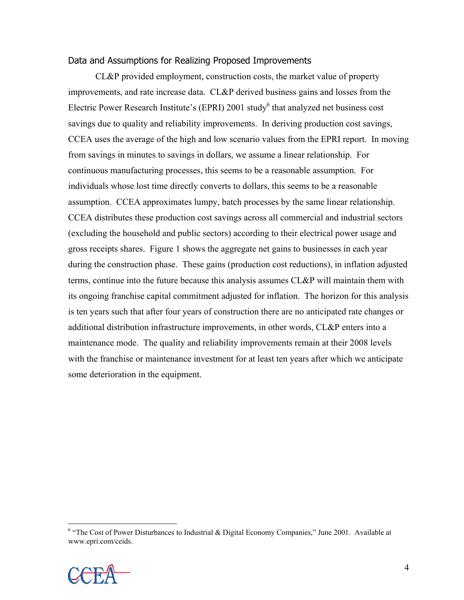#### Data and Assumptions for Realizing Proposed Improvements

 CL&P provided employment, construction costs, the market value of property improvements, and rate increase data. CL&P derived business gains and losses from the Electric Power Research Institute's (EPRI) 2001 study $^6$  that analyzed net business cost savings due to quality and reliability improvements. In deriving production cost savings, CCEA uses the average of the high and low scenario values from the EPRI report. In moving from savings in minutes to savings in dollars, we assume a linear relationship. For continuous manufacturing processes, this seems to be a reasonable assumption. For individuals whose lost time directly converts to dollars, this seems to be a reasonable assumption. CCEA approximates lumpy, batch processes by the same linear relationship. CCEA distributes these production cost savings across all commercial and industrial sectors (excluding the household and public sectors) according to their electrical power usage and gross receipts shares. Figure 1 shows the aggregate net gains to businesses in each year during the construction phase. These gains (production cost reductions), in inflation adjusted terms, continue into the future because this analysis assumes CL&P will maintain them with its ongoing franchise capital commitment adjusted for inflation. The horizon for this analysis is ten years such that after four years of construction there are no anticipated rate changes or additional distribution infrastructure improvements, in other words, CL&P enters into a maintenance mode. The quality and reliability improvements remain at their 2008 levels with the franchise or maintenance investment for at least ten years after which we anticipate some deterioration in the equipment.

<sup>&</sup>lt;sup>6</sup> "The Cost of Power Disturbances to Industrial & Digital Economy Companies," June 2001. Available at www.epri.com/ceids.

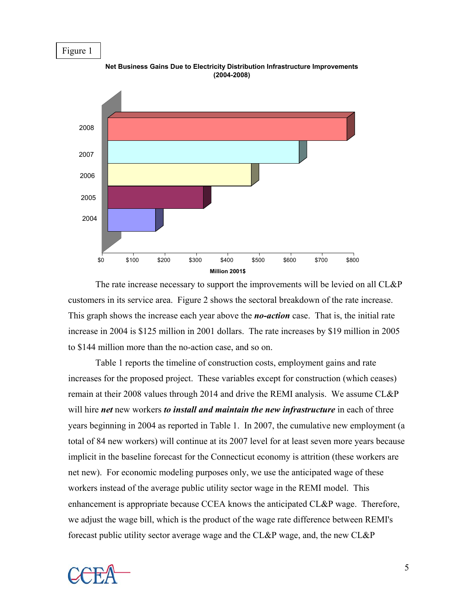## Figure 1

2004 2005 2006 2007 2008 \$0 \$100 \$200 \$300 \$400 \$500 \$600 \$700 \$800 **Million 2001\$**

**Net Business Gains Due to Electricity Distribution Infrastructure Improvements (2004-2008)**

 The rate increase necessary to support the improvements will be levied on all CL&P customers in its service area. Figure 2 shows the sectoral breakdown of the rate increase. This graph shows the increase each year above the *no-action* case. That is, the initial rate increase in 2004 is \$125 million in 2001 dollars. The rate increases by \$19 million in 2005 to \$144 million more than the no-action case, and so on.

 Table 1 reports the timeline of construction costs, employment gains and rate increases for the proposed project. These variables except for construction (which ceases) remain at their 2008 values through 2014 and drive the REMI analysis. We assume CL&P will hire *net* new workers *to install and maintain the new infrastructure* in each of three years beginning in 2004 as reported in Table 1. In 2007, the cumulative new employment (a total of 84 new workers) will continue at its 2007 level for at least seven more years because implicit in the baseline forecast for the Connecticut economy is attrition (these workers are net new). For economic modeling purposes only, we use the anticipated wage of these workers instead of the average public utility sector wage in the REMI model. This enhancement is appropriate because CCEA knows the anticipated CL&P wage. Therefore, we adjust the wage bill, which is the product of the wage rate difference between REMI's forecast public utility sector average wage and the CL&P wage, and, the new CL&P

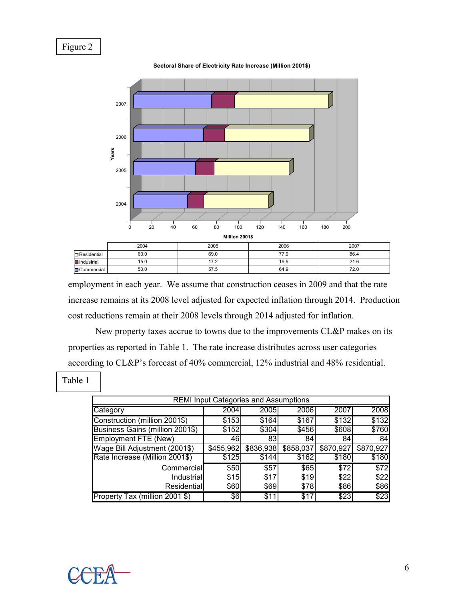## Figure 2



**Sectoral Share of Electricity Rate Increase (Million 2001\$)**

employment in each year. We assume that construction ceases in 2009 and that the rate increase remains at its 2008 level adjusted for expected inflation through 2014. Production cost reductions remain at their 2008 levels through 2014 adjusted for inflation.

 New property taxes accrue to towns due to the improvements CL&P makes on its properties as reported in Table 1. The rate increase distributes across user categories according to CL&P's forecast of 40% commercial, 12% industrial and 48% residential.

Table 1

| <b>REMI Input Categories and Assumptions</b> |           |                       |           |           |           |  |  |  |  |  |
|----------------------------------------------|-----------|-----------------------|-----------|-----------|-----------|--|--|--|--|--|
| Category                                     | 2004      | 2005                  | 2006      | 2007      | 2008      |  |  |  |  |  |
| Construction (million 2001\$)                | \$153     | \$164                 | \$167     | \$132     | \$132     |  |  |  |  |  |
| Business Gains (million 2001\$)              | \$152     | \$304                 | \$456     | \$608     | \$760     |  |  |  |  |  |
| Employment FTE (New)                         | 46        | 83                    | 84        | 84        | 84        |  |  |  |  |  |
| Wage Bill Adjustment (2001\$)                | \$455,962 | $\overline{$836,938}$ | \$858,037 | \$870,927 | \$870,927 |  |  |  |  |  |
| Rate Increase (Million 2001\$)               | \$125     | \$144                 | \$162     | \$180     | \$180     |  |  |  |  |  |
| Commercial                                   | \$50      | $\overline{$}57$      | \$65      | \$72      | \$72      |  |  |  |  |  |
| Industrial                                   | \$15      | \$17                  | \$19      | \$22      | \$22      |  |  |  |  |  |
| Residential                                  | \$60      | \$69                  | \$78      | \$86      | \$86      |  |  |  |  |  |
| Property Tax (million 2001 \$)               | \$6       | \$11                  | \$17      | \$23      | \$23      |  |  |  |  |  |

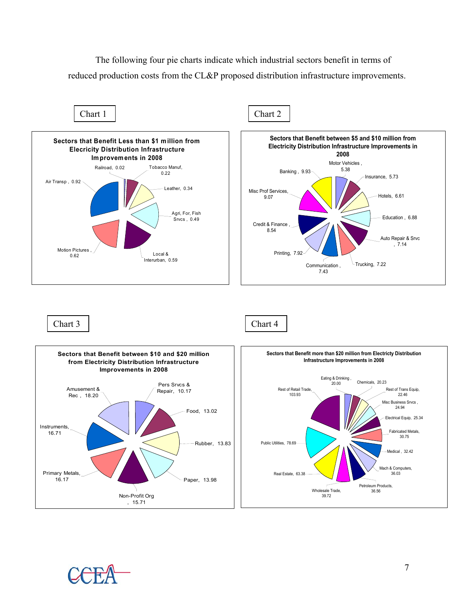The following four pie charts indicate which industrial sectors benefit in terms of reduced production costs from the CL&P proposed distribution infrastructure improvements.



Chart 3 Chart 4



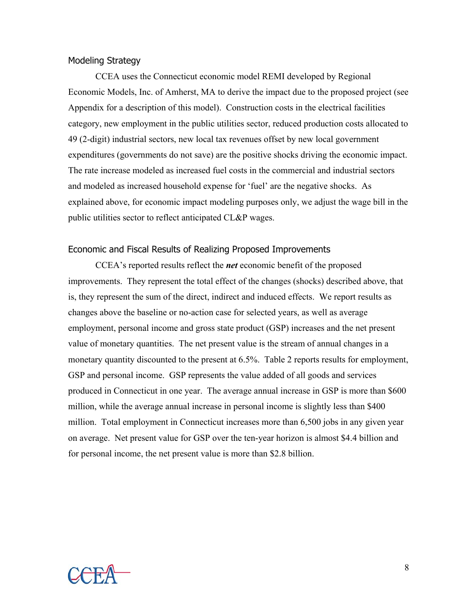#### Modeling Strategy

 CCEA uses the Connecticut economic model REMI developed by Regional Economic Models, Inc. of Amherst, MA to derive the impact due to the proposed project (see Appendix for a description of this model). Construction costs in the electrical facilities category, new employment in the public utilities sector, reduced production costs allocated to 49 (2-digit) industrial sectors, new local tax revenues offset by new local government expenditures (governments do not save) are the positive shocks driving the economic impact. The rate increase modeled as increased fuel costs in the commercial and industrial sectors and modeled as increased household expense for 'fuel' are the negative shocks. As explained above, for economic impact modeling purposes only, we adjust the wage bill in the public utilities sector to reflect anticipated CL&P wages.

#### Economic and Fiscal Results of Realizing Proposed Improvements

CCEA's reported results reflect the *net* economic benefit of the proposed improvements. They represent the total effect of the changes (shocks) described above, that is, they represent the sum of the direct, indirect and induced effects. We report results as changes above the baseline or no-action case for selected years, as well as average employment, personal income and gross state product (GSP) increases and the net present value of monetary quantities. The net present value is the stream of annual changes in a monetary quantity discounted to the present at 6.5%. Table 2 reports results for employment, GSP and personal income. GSP represents the value added of all goods and services produced in Connecticut in one year. The average annual increase in GSP is more than \$600 million, while the average annual increase in personal income is slightly less than \$400 million. Total employment in Connecticut increases more than 6,500 jobs in any given year on average. Net present value for GSP over the ten-year horizon is almost \$4.4 billion and for personal income, the net present value is more than \$2.8 billion.

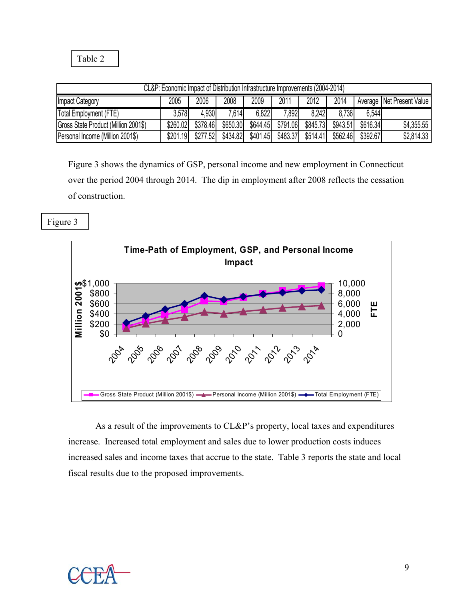Table 2

| CL&P: Economic Impact of Distribution Infrastructure Improvements (2004-2014) |          |          |          |          |          |          |          |          |                             |
|-------------------------------------------------------------------------------|----------|----------|----------|----------|----------|----------|----------|----------|-----------------------------|
| <b>Impact Category</b>                                                        | 2005     | 2006     | 2008     | 2009     | 2011     | 2012     | 2014     |          | Average   Net Present Value |
| Total Employment (FTE)                                                        | 3.578    | 4.930    | 7,614    | 6.822    | 7,892    | 8.242    | 8.736    | 6.544    |                             |
| Gross State Product (Million 2001\$)                                          | \$260.02 | \$378.46 | \$650.30 | \$644.45 | \$791.06 | \$845.73 | \$943.51 | \$616.34 | \$4,355.55                  |
| Personal Income (Million 2001\$)                                              | \$201.19 | \$277.52 | \$434.82 | \$401.45 | \$483.37 | \$514.41 | \$562.46 | \$392.67 | \$2,814.33                  |

Figure 3 shows the dynamics of GSP, personal income and new employment in Connecticut over the period 2004 through 2014. The dip in employment after 2008 reflects the cessation of construction.

Figure 3



 As a result of the improvements to CL&P's property, local taxes and expenditures increase. Increased total employment and sales due to lower production costs induces increased sales and income taxes that accrue to the state. Table 3 reports the state and local fiscal results due to the proposed improvements.

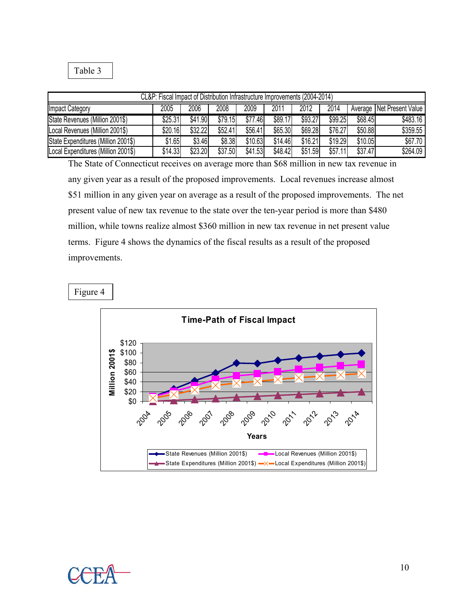Table 3

| CL&P: Fiscal Impact of Distribution Infrastructure Improvements (2004-2014) |         |         |         |         |         |         |         |         |                             |
|-----------------------------------------------------------------------------|---------|---------|---------|---------|---------|---------|---------|---------|-----------------------------|
| Impact Category                                                             | 2005    | 2006    | 2008    | 2009    | 2011    | 2012    | 2014    |         | Average   Net Present Value |
| State Revenues (Million 2001\$)                                             | \$25.31 | \$41.90 | \$79.15 | \$77.46 | \$89.17 | \$93.27 | \$99.25 | \$68.45 | \$483.16                    |
| Local Revenues (Million 2001\$)                                             | \$20.16 | \$32.22 | \$52.41 | \$56.41 | \$65.30 | \$69.28 | \$76.27 | \$50.88 | \$359.55                    |
| State Expenditures (Million 2001\$)                                         | \$1.65  | \$3.46  | \$8.38  | \$10.63 | \$14.46 | \$16.21 | \$19.29 | \$10.05 | \$67.70                     |
| Local Expenditures (Million 2001\$)                                         | \$14.33 | \$23.20 | \$37.50 | \$41.53 | \$48.42 | \$51.59 | \$57.11 | \$37.47 | \$264.09                    |

The State of Connecticut receives on average more than \$68 million in new tax revenue in any given year as a result of the proposed improvements. Local revenues increase almost \$51 million in any given year on average as a result of the proposed improvements. The net present value of new tax revenue to the state over the ten-year period is more than \$480 million, while towns realize almost \$360 million in new tax revenue in net present value terms. Figure 4 shows the dynamics of the fiscal results as a result of the proposed improvements.

#### Figure 4



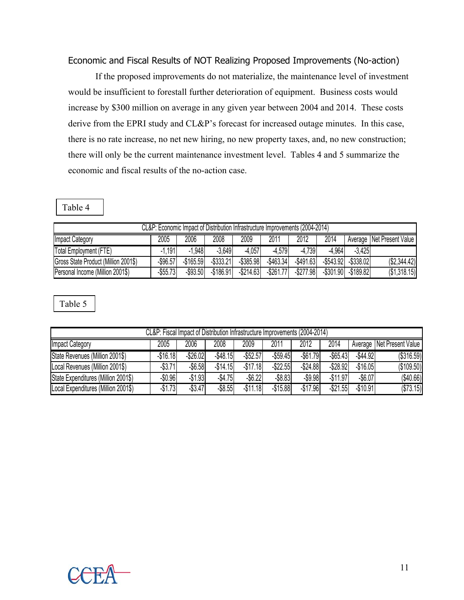## Economic and Fiscal Results of NOT Realizing Proposed Improvements (No-action)

If the proposed improvements do not materialize, the maintenance level of investment would be insufficient to forestall further deterioration of equipment. Business costs would increase by \$300 million on average in any given year between 2004 and 2014. These costs derive from the EPRI study and CL&P's forecast for increased outage minutes. In this case, there is no rate increase, no net new hiring, no new property taxes, and, no new construction; there will only be the current maintenance investment level. Tables 4 and 5 summarize the economic and fiscal results of the no-action case.

Table 4

| CL&P: Economic Impact of Distribution Infrastructure Improvements (2004-2014) |             |              |              |              |              |              |              |              |                           |
|-------------------------------------------------------------------------------|-------------|--------------|--------------|--------------|--------------|--------------|--------------|--------------|---------------------------|
| <b>Impact Category</b>                                                        | 2005        | 2006         | 2008         | 2009         | 2011         | 2012         | 2014         |              | Average Net Present Value |
| Total Employment (FTE)                                                        | $-1.191$    | $-1,948$     | $-3,649$     | $-4.057$     | $-4.579$     | $-4,739$     | $-4.964$     | $-3.425$     |                           |
| Gross State Product (Million 2001\$)                                          | $-$ \$96.57 | $-$ \$165.59 | $-$ \$333.21 | $-$ \$385.98 | $-$ \$463.34 | $-$ \$491.63 | $-$ \$543.92 | $-$ \$338.02 | (\$2,344.42)              |
| Personal Income (Million 2001\$)                                              | $-$ \$55.73 | $-$93.50$    | $-$ \$186.91 | $-$ \$214.63 | $-$ \$261.77 | $-$ \$277.98 | $-$ \$301.90 | $-$ \$189.82 | (\$1,318.15)              |

Table 5

| CL&P: Fiscal Impact of Distribution Infrastructure Improvements (2004-2014) |            |                 |            |             |             |             |             |            |                             |
|-----------------------------------------------------------------------------|------------|-----------------|------------|-------------|-------------|-------------|-------------|------------|-----------------------------|
| <b>Impact Category</b>                                                      | 2005       | 2006            | 2008       | 2009        | 2011        | 2012        | 2014        |            | Average   Net Present Value |
| State Revenues (Million 2001\$)                                             | $-$16.18$  | $-$26.02$       | $-$48.15$  | $-$ \$52.57 | $-$59.45$   | $-$ \$61.79 | $-$ \$65.43 | $-$44.92$  | (\$316.59)                  |
| Local Revenues (Million 2001\$)                                             | $-$ \$3.71 | $-$ \$6.58      | $-$14.15$  | $-$17.18$   | $-$ \$22.55 | $-$24.88$   | $-$ \$28.92 | $-$16.05$  | (\$109.50)                  |
| State Expenditures (Million 2001\$)                                         | $-$0.96$   | $-$1.93$        | $-$4.75$   | $-$ \$6.22  | $-$ \$8.83  | $-$ \$9.98  | $-$11.97$   | $-$ \$6.07 | (\$40.66)                   |
| Local Expenditures (Million 2001\$)                                         | $-$1.73$   | $-\sqrt{33.47}$ | $-$ \$8.55 | $-$11.18$   | $-$15.88$   | $-$17.96$   | $-$ \$21.55 | $-$10.91$  | (\$73.15)                   |

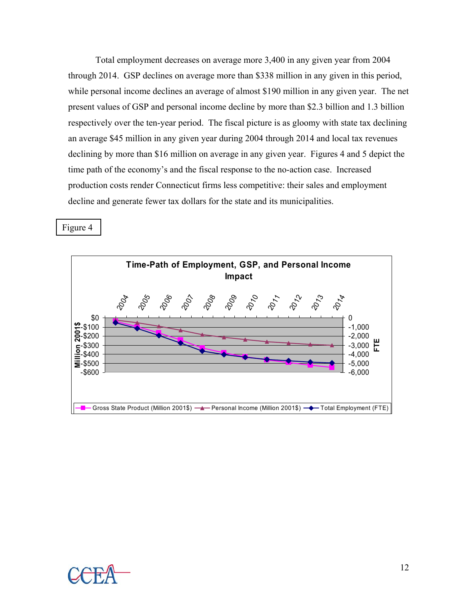Total employment decreases on average more 3,400 in any given year from 2004 through 2014. GSP declines on average more than \$338 million in any given in this period, while personal income declines an average of almost \$190 million in any given year. The net present values of GSP and personal income decline by more than \$2.3 billion and 1.3 billion respectively over the ten-year period. The fiscal picture is as gloomy with state tax declining an average \$45 million in any given year during 2004 through 2014 and local tax revenues declining by more than \$16 million on average in any given year. Figures 4 and 5 depict the time path of the economy's and the fiscal response to the no-action case. Increased production costs render Connecticut firms less competitive: their sales and employment decline and generate fewer tax dollars for the state and its municipalities.

Figure 4



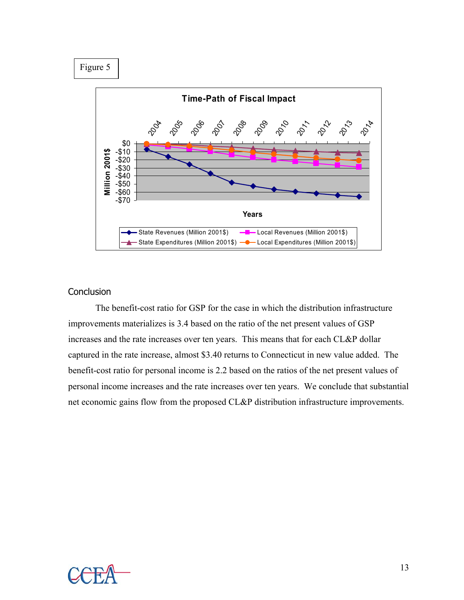Figure 5



#### **Conclusion**

 The benefit-cost ratio for GSP for the case in which the distribution infrastructure improvements materializes is 3.4 based on the ratio of the net present values of GSP increases and the rate increases over ten years. This means that for each CL&P dollar captured in the rate increase, almost \$3.40 returns to Connecticut in new value added. The benefit-cost ratio for personal income is 2.2 based on the ratios of the net present values of personal income increases and the rate increases over ten years. We conclude that substantial net economic gains flow from the proposed CL&P distribution infrastructure improvements.

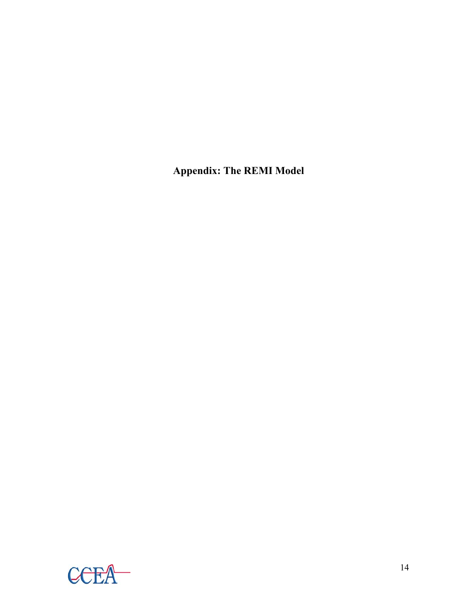**Appendix: The REMI Model** 

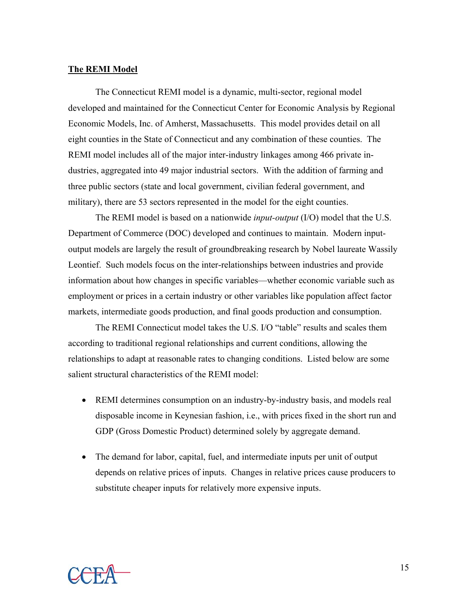#### **The REMI Model**

The Connecticut REMI model is a dynamic, multi-sector, regional model developed and maintained for the Connecticut Center for Economic Analysis by Regional Economic Models, Inc. of Amherst, Massachusetts. This model provides detail on all eight counties in the State of Connecticut and any combination of these counties. The REMI model includes all of the major inter-industry linkages among 466 private industries, aggregated into 49 major industrial sectors. With the addition of farming and three public sectors (state and local government, civilian federal government, and military), there are 53 sectors represented in the model for the eight counties.

The REMI model is based on a nationwide *input-output* (I/O) model that the U.S. Department of Commerce (DOC) developed and continues to maintain. Modern inputoutput models are largely the result of groundbreaking research by Nobel laureate Wassily Leontief. Such models focus on the inter-relationships between industries and provide information about how changes in specific variables—whether economic variable such as employment or prices in a certain industry or other variables like population affect factor markets, intermediate goods production, and final goods production and consumption.

The REMI Connecticut model takes the U.S. I/O "table" results and scales them according to traditional regional relationships and current conditions, allowing the relationships to adapt at reasonable rates to changing conditions. Listed below are some salient structural characteristics of the REMI model:

- REMI determines consumption on an industry-by-industry basis, and models real disposable income in Keynesian fashion, i.e., with prices fixed in the short run and GDP (Gross Domestic Product) determined solely by aggregate demand.
- The demand for labor, capital, fuel, and intermediate inputs per unit of output depends on relative prices of inputs. Changes in relative prices cause producers to substitute cheaper inputs for relatively more expensive inputs.

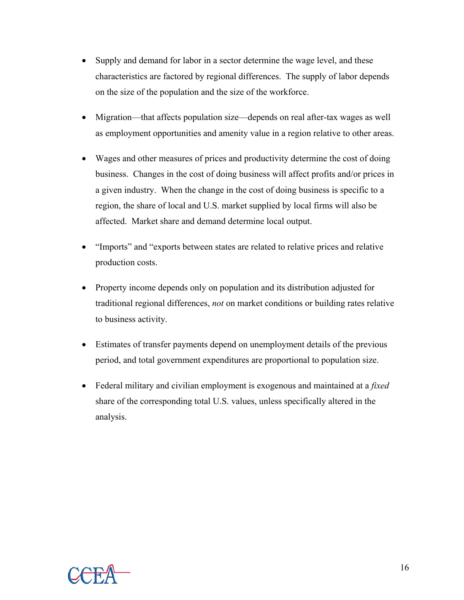- Supply and demand for labor in a sector determine the wage level, and these characteristics are factored by regional differences. The supply of labor depends on the size of the population and the size of the workforce.
- Migration—that affects population size—depends on real after-tax wages as well as employment opportunities and amenity value in a region relative to other areas.
- Wages and other measures of prices and productivity determine the cost of doing business. Changes in the cost of doing business will affect profits and/or prices in a given industry. When the change in the cost of doing business is specific to a region, the share of local and U.S. market supplied by local firms will also be affected. Market share and demand determine local output.
- "Imports" and "exports between states are related to relative prices and relative production costs.
- Property income depends only on population and its distribution adjusted for traditional regional differences, *not* on market conditions or building rates relative to business activity.
- Estimates of transfer payments depend on unemployment details of the previous period, and total government expenditures are proportional to population size.
- Federal military and civilian employment is exogenous and maintained at a *fixed* share of the corresponding total U.S. values, unless specifically altered in the analysis.